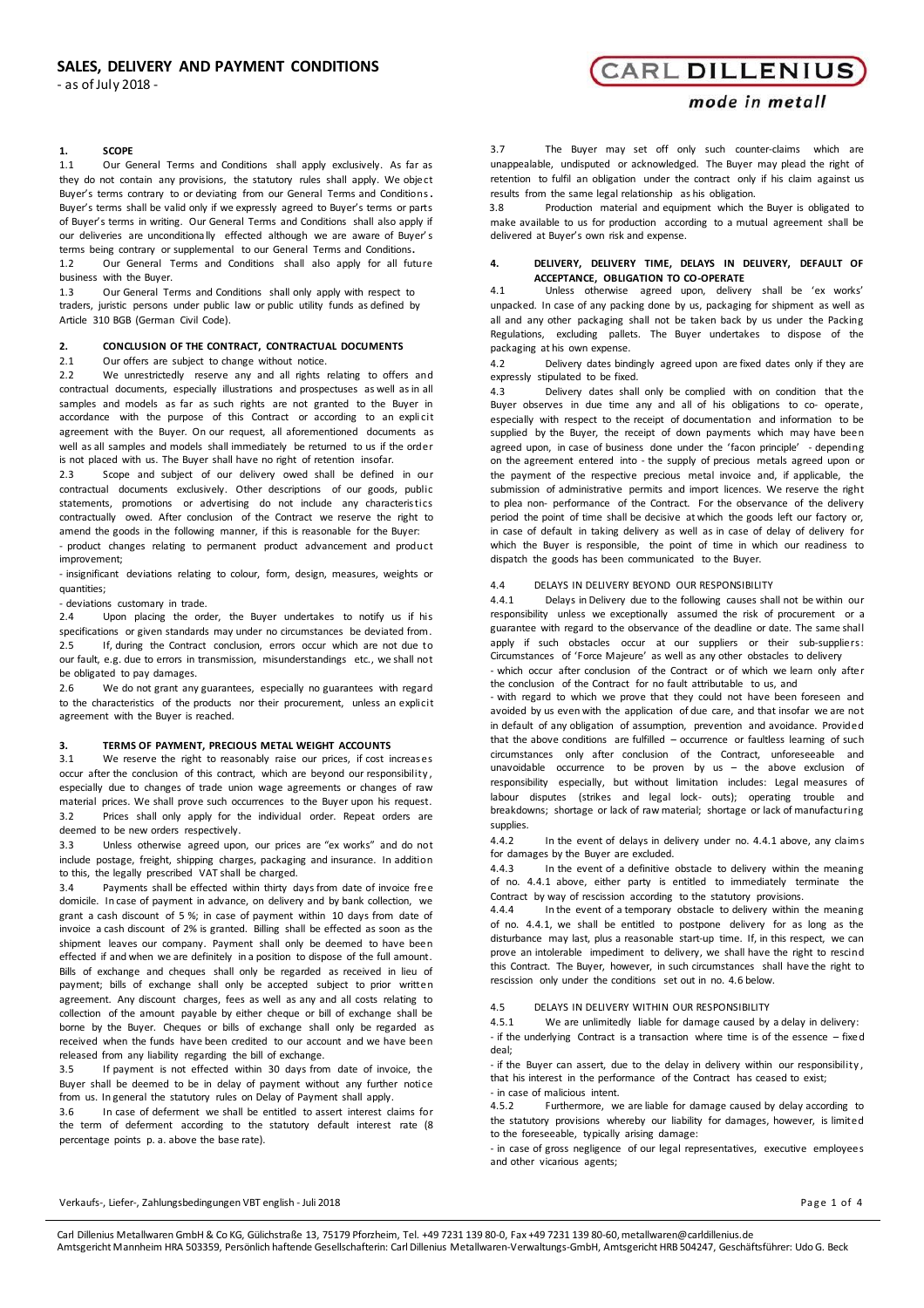- as of July 2018 -

# **1. SCOPE**

1.1 Our General Terms and Conditions shall apply exclusively. As far as they do not contain any provisions, the statutory rules shall apply. We object Buyer's terms contrary to or deviating from our General Terms and Conditions**.**  Buyer's terms shall be valid only if we expressly agreed to Buyer's terms or parts of Buyer's terms in writing. Our General Terms and Conditions shall also apply if our deliveries are unconditionally effected although we are aware of Buyer's terms being contrary or supplemental to our General Terms and Conditions**.**

1.2 Our General Terms and Conditions shall also apply for all future business with the Buyer.

1.3 Our General Terms and Conditions shall only apply with respect to traders, juristic persons under public law or public utility funds as defined by Article 310 BGB (German Civil Code).

# **2. CONCLUSION OF THE CONTRACT, CONTRACTUAL DOCUMENTS**

# 2.1 Our offers are subject to change without notice.<br>2.2 We unrestrictedly reserve any and all rights

We unrestrictedly reserve any and all rights relating to offers and contractual documents, especially illustrations and prospectuses as well as in all samples and models as far as such rights are not granted to the Buyer in accordance with the purpose of this Contract or according to an explicit agreement with the Buyer. On our request, all aforementioned documents as well as all samples and models shall immediately be returned to us if the order is not placed with us. The Buyer shall have no right of retention insofar.

2.3 Scope and subject of our delivery owed shall be defined in our contractual documents exclusively. Other descriptions of our goods, public statements, promotions or advertising do not include any characteristics contractually owed. After conclusion of the Contract we reserve the right to amend the goods in the following manner, if this is reasonable for the Buyer:

‐ product changes relating to permanent product advancement and product improvement;

‐ insignificant deviations relating to colour, form, design, measures, weights or quantities;

‐ deviations customary in trade.

2.4 Upon placing the order, the Buyer undertakes to notify us if his specifications or given standards may under no circumstances be deviated from. 2.5 If, during the Contract conclusion, errors occur which are not due to our fault, e.g. due to errors in transmission, misunderstandings etc., we shall not be obligated to pay damages.

2.6 We do not grant any guarantees, especially no guarantees with regard to the characteristics of the products nor their procurement, unless an explicit agreement with the Buyer is reached.

### **3. TERMS OF PAYMENT, PRECIOUS METAL WEIGHT ACCOUNTS**

3.1 We reserve the right to reasonably raise our prices, if cost increases occur after the conclusion of this contract, which are beyond our responsibility , especially due to changes of trade union wage agreements or changes of raw material prices. We shall prove such occurrences to the Buyer upon his request. 3.2 Prices shall only apply for the individual order. Repeat orders are deemed to be new orders respectively.

3.3 Unless otherwise agreed upon, our prices are "ex works" and do not include postage, freight, shipping charges, packaging and insurance. In addition to this, the legally prescribed VAT shall be charged.

3.4 Payments shall be effected within thirty days from date of invoice free domicile. In case of payment in advance, on delivery and by bank collection, we grant a cash discount of 5 %; in case of payment within 10 days from date of invoice a cash discount of 2% is granted. Billing shall be effected as soon as the shipment leaves our company. Payment shall only be deemed to have been effected if and when we are definitely in a position to dispose of the full amount. Bills of exchange and cheques shall only be regarded as received in lieu of payment; bills of exchange shall only be accepted subject to prior written agreement. Any discount charges, fees as well as any and all costs relating to collection of the amount payable by either cheque or bill of exchange shall be borne by the Buyer. Cheques or bills of exchange shall only be regarded as received when the funds have been credited to our account and we have been released from any liability regarding the bill of exchange.

3.5 If payment is not effected within 30 days from date of invoice, the Buyer shall be deemed to be in delay of payment without any further notice from us. In general the statutory rules on Delay of Payment shall apply.

3.6 In case of deferment we shall be entitled to assert interest claims for the term of deferment according to the statutory default interest rate (8 percentage points p. a. above the base rate).

mode in metall

**CARL DILLENIUS** 

3.7 The Buyer may set off only such counter‐claims which are unappealable, undisputed or acknowledged. The Buyer may plead the right of retention to fulfil an obligation under the contract only if his claim against us results from the same legal relationship as his obligation.

3.8 Production material and equipment which the Buyer is obligated to make available to us for production according to a mutual agreement shall be delivered at Buyer's own risk and expense.

# **4. DELIVERY, DELIVERY TIME, DELAYS IN DELIVERY, DEFAULT OF ACCEPTANCE, OBLIGATION TO CO-OPERATE**

4.1 Unless otherwise agreed upon, delivery shall be 'ex works' unpacked. In case of any packing done by us, packaging for shipment as well as all and any other packaging shall not be taken back by us under the Packing Regulations, excluding pallets. The Buyer undertakes to dispose of the packaging at his own expense.

4.2 Delivery dates bindingly agreed upon are fixed dates only if they are expressly stipulated to be fixed.

4.3 Delivery dates shall only be complied with on condition that the Buyer observes in due time any and all of his obligations to co- operate, especially with respect to the receipt of documentation and information to be supplied by the Buyer, the receipt of down payments which may have been agreed upon, in case of business done under the 'facon principle' ‐ depending on the agreement entered into ‐ the supply of precious metals agreed upon or the payment of the respective precious metal invoice and, if applicable, the submission of administrative permits and import licences. We reserve the right to plea non‐ performance of the Contract. For the observance of the delivery period the point of time shall be decisive at which the goods left our factory or, in case of default in taking delivery as well as in case of delay of delivery for which the Buyer is responsible, the point of time in which our readiness to dispatch the goods has been communicated to the Buyer.

# 4.4 DELAYS IN DELIVERY BEYOND OUR RESPONSIBILITY

4.4.1 Delays in Delivery due to the following causes shall not be within our responsibility unless we exceptionally assumed the risk of procurement or a guarantee with regard to the observance of the deadline or date. The same shall apply if such obstacles occur at our suppliers or their sub-suppliers: Circumstances of 'Force Majeure' as well as any other obstacles to delivery

which occur after conclusion of the Contract or of which we learn only after the conclusion of the Contract for no fault attributable to us, and

‐ with regard to which we prove that they could not have been foreseen and avoided by us even with the application of due care, and that insofar we are not in default of any obligation of assumption, prevention and avoidance. Provided that the above conditions are fulfilled – occurrence or faultless learning of such circumstances only after conclusion of the Contract, unforeseeable and unavoidable occurrence to be proven by us – the above exclusion of responsibility especially, but without limitation includes: Legal measures of labour disputes (strikes and legal lock‐ outs); operating trouble and breakdowns; shortage or lack of raw material; shortage or lack of manufacturing supplies.

4.4.2 In the event of delays in delivery under no. 4.4.1 above, any claims for damages by the Buyer are excluded.<br>4.4.3 In the event of a definitive

In the event of a definitive obstacle to delivery within the meaning of no. 4.4.1 above, either party is entitled to immediately terminate the Contract by way of rescission according to the statutory provisions.

4.4.4 In the event of a temporary obstacle to delivery within the meaning of no. 4.4.1, we shall be entitled to postpone delivery for as long as the disturbance may last, plus a reasonable start‐up time. If, in this respect, we can prove an intolerable impediment to delivery, we shall have the right to rescind this Contract. The Buyer, however, in such circumstances shall have the right to rescission only under the conditions set out in no. 4.6 below.

4.5 DELAYS IN DELIVERY WITHIN OUR RESPONSIBILITY

4.5.1 We are unlimitedly liable for damage caused by a delay in delivery: ‐ if the underlying Contract is a transaction where time is of the essence – fixed deal;

‐ if the Buyer can assert, due to the delay in delivery within our responsibility , that his interest in the performance of the Contract has ceased to exist; ‐ in case of malicious intent.

4.5.2 Furthermore, we are liable for damage caused by delay according to the statutory provisions whereby our liability for damages, however, is limited to the foreseeable, typically arising damage:

‐ in case of gross negligence of our legal representatives, executive employees and other vicarious agents;

Verkaufs-, Liefer-, Zahlungsbedingungen VBT english - Juli 2018 **Pa g e 1 of 4** and 2018 Page 1 of 4

Carl Dillenius Metallwaren GmbH & Co KG, Gülichstraße 13, 75179 Pforzheim, Tel. +49 7231 139 80‐0, Fax +49 7231 139 80‐60,[metallwaren@carldillenius.de](mailto:metallwaren@carldillenius.de) Amtsgericht Mannheim HRA 503359, Persönlich haftende Gesellschafterin: Carl Dillenius Metallwaren‐Verwaltungs‐GmbH, Amtsgericht HRB 504247, Geschäftsführer: Udo G. Beck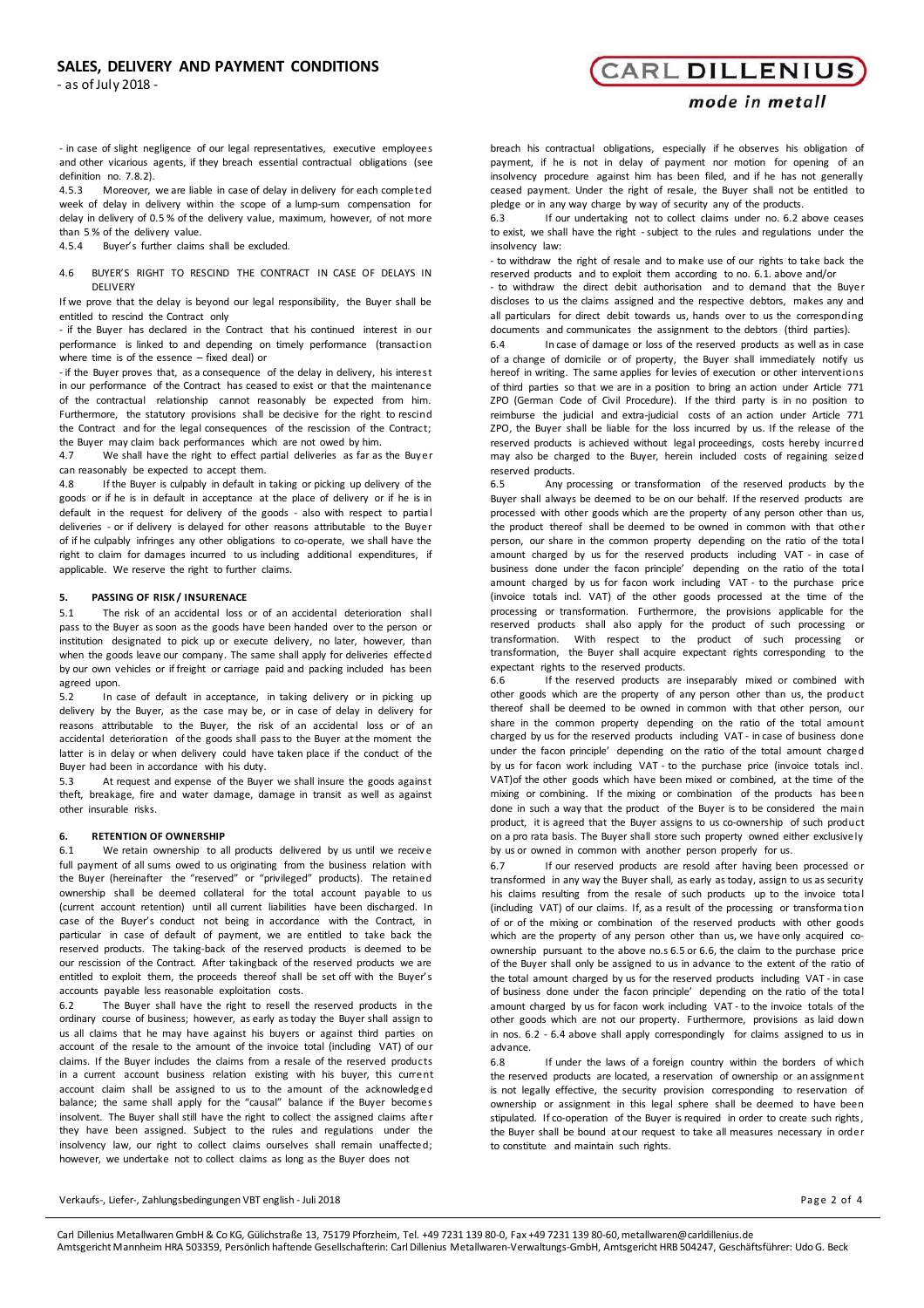# **SALES, DELIVERY AND PAYMENT CONDITIONS**

- as of July 2018 -

# **CARL DILLENIUS**

# mode in metall

‐ in case of slight negligence of our legal representatives, executive employees and other vicarious agents, if they breach essential contractual obligations (see definition no. 7.8.2).

4.5.3 Moreover, we are liable in case of delay in delivery for each completed week of delay in delivery within the scope of a lump-sum compensation for delay in delivery of 0.5 % of the delivery value, maximum, however, of not more than 5 % of the delivery value.

4.5.4 Buyer's further claims shall be excluded.

4.6 BUYER'S RIGHT TO RESCIND THE CONTRACT IN CASE OF DELAYS IN **DELIVERY** 

If we prove that the delay is beyond our legal responsibility, the Buyer shall be entitled to rescind the Contract only

‐ if the Buyer has declared in the Contract that his continued interest in our performance is linked to and depending on timely performance (transaction where time is of the essence – fixed deal) or

‐ if the Buyer proves that, as a consequence of the delay in delivery, his interest in our performance of the Contract has ceased to exist or that the maintenance of the contractual relationship cannot reasonably be expected from him. Furthermore, the statutory provisions shall be decisive for the right to rescind the Contract and for the legal consequences of the rescission of the Contract; the Buyer may claim back performances which are not owed by him.

4.7 We shall have the right to effect partial deliveries as far as the Buyer can reasonably be expected to accept them.

4.8 If the Buyer is culpably in default in taking or picking up delivery of the goods or if he is in default in acceptance at the place of delivery or if he is in default in the request for delivery of the goods ‐ also with respect to partia l deliveries ‐ or if delivery is delayed for other reasons attributable to the Buyer of if he culpably infringes any other obligations to co-operate, we shall have the right to claim for damages incurred to us including additional expenditures, if applicable. We reserve the right to further claims.

# **5. PASSING OF RISK / INSURENACE**

5.1 The risk of an accidental loss or of an accidental deterioration shall pass to the Buyer as soon as the goods have been handed over to the person or institution designated to pick up or execute delivery, no later, however, than when the goods leave our company. The same shall apply for deliveries effected by our own vehicles or if freight or carriage paid and packing included has been agreed upon.

5.2 In case of default in acceptance, in taking delivery or in picking up delivery by the Buyer, as the case may be, or in case of delay in delivery for reasons attributable to the Buyer, the risk of an accidental loss or of an accidental deterioration of the goods shall pass to the Buyer at the moment the latter is in delay or when delivery could have taken place if the conduct of the Buyer had been in accordance with his duty.

5.3 At request and expense of the Buyer we shall insure the goods against theft, breakage, fire and water damage, damage in transit as well as against other insurable risks.

# **6. RETENTION OF OWNERSHIP**

6.1 We retain ownership to all products delivered by us until we receiv e full payment of all sums owed to us originating from the business relation with the Buyer (hereinafter the "reserved" or "privileged" products). The retained ownership shall be deemed collateral for the total account payable to us (current account retention) until all current liabilities have been discharged. In case of the Buyer's conduct not being in accordance with the Contract, in particular in case of default of payment, we are entitled to take back the reserved products. The taking‐back of the reserved products is deemed to be our rescission of the Contract. After takingback of the reserved products we are entitled to exploit them, the proceeds thereof shall be set off with the Buyer's accounts payable less reasonable exploitation costs.

6.2 The Buyer shall have the right to resell the reserved products in the ordinary course of business; however, as early as today the Buyer shall assign to us all claims that he may have against his buyers or against third parties on account of the resale to the amount of the invoice total (including VAT) of our claims. If the Buyer includes the claims from a resale of the reserved products in a current account business relation existing with his buyer, this current account claim shall be assigned to us to the amount of the acknowledg ed balance; the same shall apply for the "causal" balance if the Buyer becomes insolvent. The Buyer shall still have the right to collect the assigned claims after they have been assigned. Subject to the rules and regulations under the insolvency law, our right to collect claims ourselves shall remain unaffected; however, we undertake not to collect claims as long as the Buyer does not

breach his contractual obligations, especially if he observes his obligation of payment, if he is not in delay of payment nor motion for opening of an insolvency procedure against him has been filed, and if he has not generally ceased payment. Under the right of resale, the Buyer shall not be entitled to pledge or in any way charge by way of security any of the products.<br>6.3 If our undertaking not to collect claims under no 6.2.3

If our undertaking not to collect claims under no. 6.2 above ceases to exist, we shall have the right ‐ subject to the rules and regulations under the insolvency law:

‐ to withdraw the right of resale and to make use of our rights to take back the reserved products and to exploit them according to no. 6.1. above and/or

‐ to withdraw the direct debit authorisation and to demand that the Buyer discloses to us the claims assigned and the respective debtors, makes any and all particulars for direct debit towards us, hands over to us the corresponding documents and communicates the assignment to the debtors (third parties).

6.4 In case of damage or loss of the reserved products as well as in case of a change of domicile or of property, the Buyer shall immediately notify us hereof in writing. The same applies for levies of execution or other interventions of third parties so that we are in a position to bring an action under Article 771 ZPO (German Code of Civil Procedure). If the third party is in no position to reimburse the judicial and extra‐judicial costs of an action under Article 771 ZPO, the Buyer shall be liable for the loss incurred by us. If the release of the reserved products is achieved without legal proceedings, costs hereby incurred may also be charged to the Buyer, herein included costs of regaining seized reserved products.<br>6.5 Any pro

Any processing or transformation of the reserved products by the Buyer shall always be deemed to be on our behalf. If the reserved products are processed with other goods which are the property of any person other than us, the product thereof shall be deemed to be owned in common with that other person, our share in the common property depending on the ratio of the tota l amount charged by us for the reserved products including VAT ‐ in case of business done under the facon principle' depending on the ratio of the tota l amount charged by us for facon work including VAT ‐ to the purchase price (invoice totals incl. VAT) of the other goods processed at the time of the processing or transformation. Furthermore, the provisions applicable for the reserved products shall also apply for the product of such processing or transformation. With respect to the product of such processing or transformation, the Buyer shall acquire expectant rights corresponding to the expectant rights to the reserved products.

6.6 If the reserved products are inseparably mixed or combined with other goods which are the property of any person other than us, the product thereof shall be deemed to be owned in common with that other person, our share in the common property depending on the ratio of the total amount charged by us for the reserved products including VAT ‐ in case of business done under the facon principle' depending on the ratio of the total amount charged by us for facon work including VAT ‐ to the purchase price (invoice totals incl. VAT)of the other goods which have been mixed or combined, at the time of the mixing or combining. If the mixing or combination of the products has been done in such a way that the product of the Buyer is to be considered the main product, it is agreed that the Buyer assigns to us co-ownership of such product on a pro rata basis. The Buyer shall store such property owned either exclusively by us or owned in common with another person properly for us.

6.7 If our reserved products are resold after having been processed or transformed in any way the Buyer shall, as early as today, assign to us as security his claims resulting from the resale of such products up to the invoice tota l (including VAT) of our claims. If, as a result of the processing or transforma tion of or of the mixing or combination of the reserved products with other goods which are the property of any person other than us, we have only acquired coownership pursuant to the above no.s 6.5 or 6.6, the claim to the purchase price of the Buyer shall only be assigned to us in advance to the extent of the ratio of the total amount charged by us for the reserved products including VAT ‐ in case of business done under the facon principle' depending on the ratio of the tota l amount charged by us for facon work including VAT ‐ to the invoice totals of the other goods which are not our property. Furthermore, provisions as laid down in nos. 6.2 ‐ 6.4 above shall apply correspondingly for claims assigned to us in advance.

6.8 If under the laws of a foreign country within the borders of which the reserved products are located, a reservation of ownership or an assignment is not legally effective, the security provision corresponding to reservation of ownership or assignment in this legal sphere shall be deemed to have been stipulated. If co-operation of the Buyer is required in order to create such rights, the Buyer shall be bound at our request to take all measures necessary in order to constitute and maintain such rights.

Verkaufs-, Liefer-, Zahlungsbedingungen VBT english - Juli 2018 **Pa g e 2 of 4** and 2018 Page 2 of 4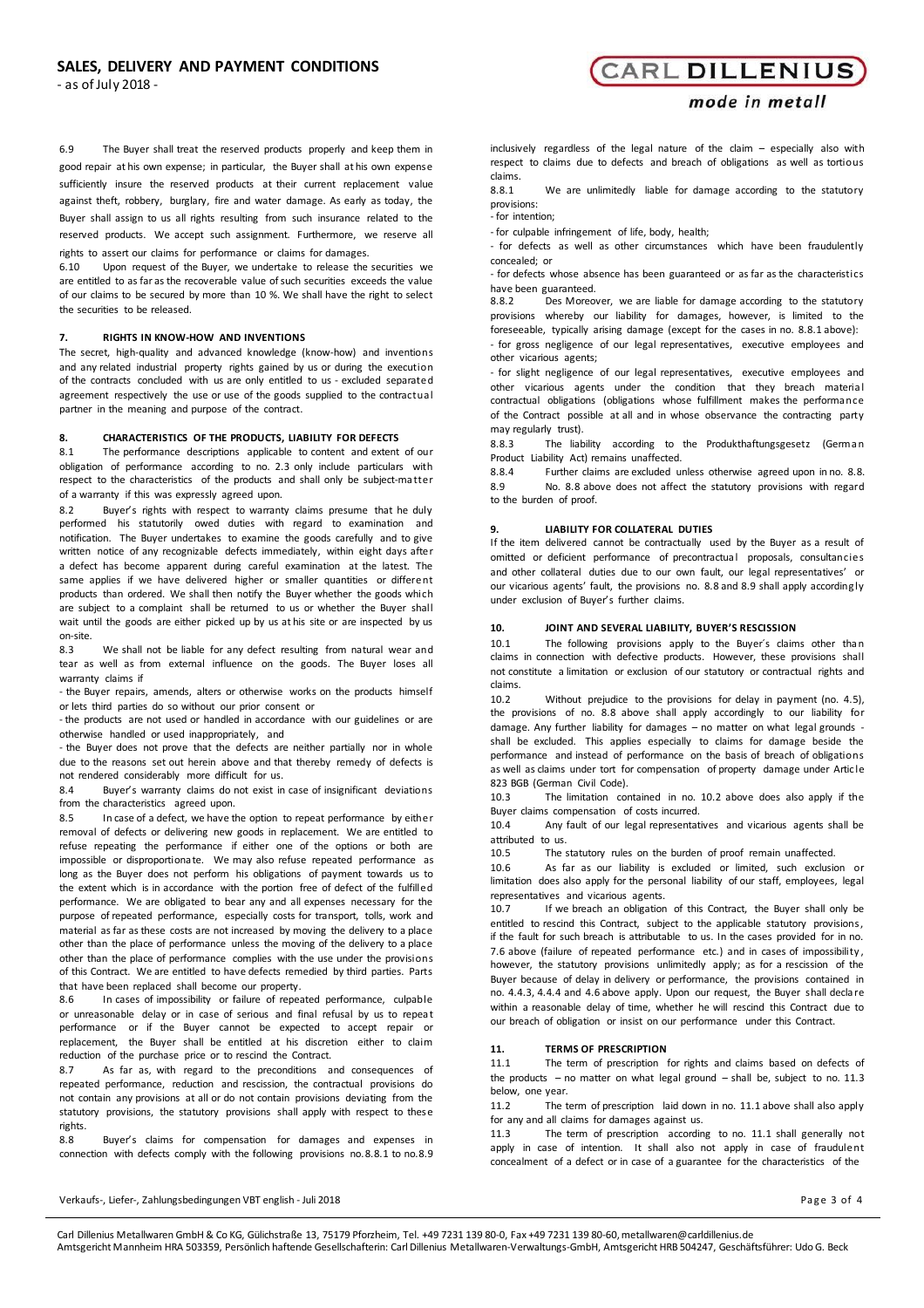- as of July 2018 -

6.9 The Buyer shall treat the reserved products properly and keep them in good repair at his own expense; in particular, the Buyer shall at his own expense sufficiently insure the reserved products at their current replacement value against theft, robbery, burglary, fire and water damage. As early as today, the Buyer shall assign to us all rights resulting from such insurance related to the reserved products. We accept such assignment. Furthermore, we reserve all rights to assert our claims for performance or claims for damages.

6.10 Upon request of the Buyer, we undertake to release the securities we are entitled to as far as the recoverable value of such securities exceeds the value of our claims to be secured by more than 10 %. We shall have the right to select the securities to be released.

# **7. RIGHTS IN KNOW-HOW AND INVENTIONS**

The secret, high-quality and advanced knowledge (know-how) and inventions and any related industrial property rights gained by us or during the execution of the contracts concluded with us are only entitled to us - excluded separated agreement respectively the use or use of the goods supplied to the contractua l partner in the meaning and purpose of the contract.

# **8. CHARACTERISTICS OF THE PRODUCTS, LIABILITY FOR DEFECTS**

8.1 The performance descriptions applicable to content and extent of our obligation of performance according to no. 2.3 only include particulars with respect to the characteristics of the products and shall only be subject-matter of a warranty if this was expressly agreed upon.

8.2 Buyer's rights with respect to warranty claims presume that he duly performed his statutorily owed duties with regard to examination and notification. The Buyer undertakes to examine the goods carefully and to give written notice of any recognizable defects immediately, within eight days after a defect has become apparent during careful examination at the latest. The same applies if we have delivered higher or smaller quantities or different products than ordered. We shall then notify the Buyer whether the goods which are subject to a complaint shall be returned to us or whether the Buyer shall wait until the goods are either picked up by us at his site or are inspected by us on‐site.

8.3 We shall not be liable for any defect resulting from natural wear and tear as well as from external influence on the goods. The Buyer loses all warranty claims if

‐ the Buyer repairs, amends, alters or otherwise works on the products himself or lets third parties do so without our prior consent or

‐ the products are not used or handled in accordance with our guidelines or are otherwise handled or used inappropriately, and

‐ the Buyer does not prove that the defects are neither partially nor in whole due to the reasons set out herein above and that thereby remedy of defects is not rendered considerably more difficult for us.

8.4 Buyer's warranty claims do not exist in case of insignificant deviations from the characteristics agreed upon.

8.5 In case of a defect, we have the option to repeat performance by either removal of defects or delivering new goods in replacement. We are entitled to refuse repeating the performance if either one of the options or both are impossible or disproportiona te. We may also refuse repeated performance as long as the Buyer does not perform his obligations of payment towards us to the extent which is in accordance with the portion free of defect of the fulfilled performance. We are obligated to bear any and all expenses necessary for the purpose of repeated performance, especially costs for transport, tolls, work and material as far as these costs are not increased by moving the delivery to a place other than the place of performance unless the moving of the delivery to a place other than the place of performance complies with the use under the provisions of this Contract. We are entitled to have defects remedied by third parties. Parts that have been replaced shall become our property.

8.6 In cases of impossibility or failure of repeated performance, culpable or unreasonable delay or in case of serious and final refusal by us to repea t performance or if the Buyer cannot be expected to accept repair or replacement, the Buyer shall be entitled at his discretion either to claim reduction of the purchase price or to rescind the Contract.

8.7 As far as, with regard to the preconditions and consequences of repeated performance, reduction and rescission, the contractual provisions do not contain any provisions at all or do not contain provisions deviating from the statutory provisions, the statutory provisions shall apply with respect to these rights.

8.8 Buyer's claims for compensation for damages and expenses in connection with defects comply with the following provisions no.8.8.1 to no.8.9

# **CARL DILLENIUS**

# mode in metall

inclusively regardless of the legal nature of the claim – especially also with respect to claims due to defects and breach of obligations as well as tortious claims.

8.8.1 We are unlimitedly liable for damage according to the statutory provisions:

.<br>- for intention:

‐ for culpable infringement of life, body, health;

‐ for defects as well as other circumstances which have been fraudulently concealed; or

‐ for defects whose absence has been guaranteed or as far as the characteristics have been guaranteed.<br>8.8.2 Des Moreo

8.8.2 Des Moreover, we are liable for damage according to the statutory provisions whereby our liability for damages, however, is limited to the foreseeable, typically arising damage (except for the cases in no. 8.8.1 above): ‐ for gross negligence of our legal representatives, executive employees and other vicarious agents;

‐ for slight negligence of our legal representatives, executive employees and other vicarious agents under the condition that they breach material contractual obligations (obligations whose fulfillment makes the performa nce of the Contract possible at all and in whose observance the contracting party may regularly trust).

8.8.3 The liability according to the Produkthaftungsgesetz (Germa n Product Liability Act) remains unaffected.

8.8.4 Further claims are excluded unless otherwise agreed upon in no. 8.8. 8.9 No. 8.8 above does not affect the statutory provisions with regard to the burden of proof.

#### **9. LIABILITY FOR COLLATERAL DUTIES**

If the item delivered cannot be contractually used by the Buyer as a result of omitted or deficient performance of precontractual proposals, consultancies and other collateral duties due to our own fault, our legal representatives' or our vicarious agents' fault, the provisions no. 8.8 and 8.9 shall apply according ly under exclusion of Buyer's further claims.

# **10. JOINT AND SEVERAL LIABILITY, BUYER'S RESCISSION**

10.1 The following provisions apply to the Buyer's claims other than claims in connection with defective products. However, these provisions shall not constitute a limitation or exclusion of our statutory or contractual rights and claims.

10.2 Without prejudice to the provisions for delay in payment (no. 4.5), the provisions of no. 8.8 above shall apply accordingly to our liability for damage. Any further liability for damages – no matter on what legal grounds ‐ shall be excluded. This applies especially to claims for damage beside the performance and instead of performance on the basis of breach of obligations as well as claims under tort for compensation of property damage under Artic le 823 BGB (German Civil Code).<br>10.3 The limitation cor

The limitation contained in no. 10.2 above does also apply if the Buyer claims compensation of costs incurred.<br>10.4 Any fault of our legal representat

Any fault of our legal representatives and vicarious agents shall be attributed to us.

10.5 The statutory rules on the burden of proof remain unaffected.

10.6 As far as our liability is excluded or limited, such exclusion or limitation does also apply for the personal liability of our staff, employees, legal representatives and vicarious agents.

10.7 If we breach an obligation of this Contract, the Buyer shall only be entitled to rescind this Contract, subject to the applicable statutory provisions, if the fault for such breach is attributable to us. In the cases provided for in no. 7.6 above (failure of repeated performance etc.) and in cases of impossibility , however, the statutory provisions unlimitedly apply; as for a rescission of the Buyer because of delay in delivery or performance, the provisions contained in no. 4.4.3, 4.4.4 and 4.6 above apply. Upon our request, the Buyer shall decla re within a reasonable delay of time, whether he will rescind this Contract due to our breach of obligation or insist on our performance under this Contract.

#### **11. TERMS OF PRESCRIPTION**

11.1 The term of prescription for rights and claims based on defects of the products – no matter on what legal ground – shall be, subject to no. 11.3 below, one year.

11.2 The term of prescription laid down in no. 11.1 above shall also apply for any and all claims for damages against us.

11.3 The term of prescription according to no. 11.1 shall generally not apply in case of intention. It shall also not apply in case of fraudulent concealment of a defect or in case of a guarantee for the characteristics of the

Verkaufs-, Liefer-, Zahlungsbedingungen VBT english - Juli 2018 **Pa g e 3 of 4** and the state of the state of the state of the state of the state of the state of the state of the state of the state of the state of the stat

Carl Dillenius Metallwaren GmbH & Co KG, Gülichstraße 13, 75179 Pforzheim, Tel. +49 7231 139 80‐0, Fax +49 7231 139 80‐60,[metallwaren@carldillenius.de](mailto:metallwaren@carldillenius.de) Amtsgericht Mannheim HRA 503359, Persönlich haftende Gesellschafterin: Carl Dillenius Metallwaren‐Verwaltungs‐GmbH, Amtsgericht HRB 504247, Geschäftsführer: Udo G. Beck